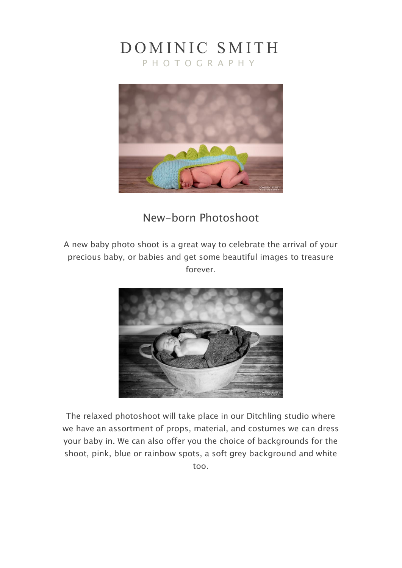## DOMINIC SMITH

P H O T O G R A P H Y



## New-born Photoshoot

A new baby photo shoot is a great way to celebrate the arrival of your precious baby, or babies and get some beautiful images to treasure forever.



The relaxed photoshoot will take place in our Ditchling studio where we have an assortment of props, material, and costumes we can dress your baby in. We can also offer you the choice of backgrounds for the shoot, pink, blue or rainbow spots, a soft grey background and white too.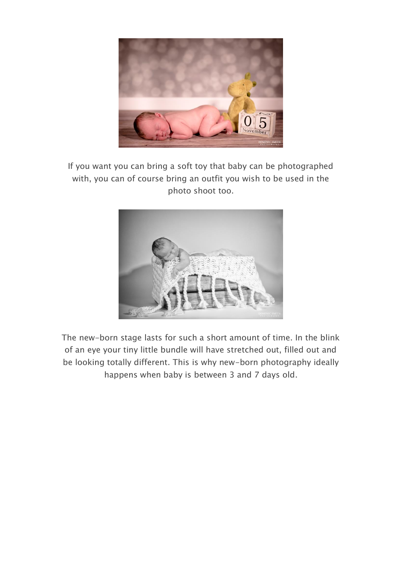

If you want you can bring a soft toy that baby can be photographed with, you can of course bring an outfit you wish to be used in the photo shoot too.



The new-born stage lasts for such a short amount of time. In the blink of an eye your tiny little bundle will have stretched out, filled out and be looking totally different. This is why new-born photography ideally happens when baby is between 3 and 7 days old.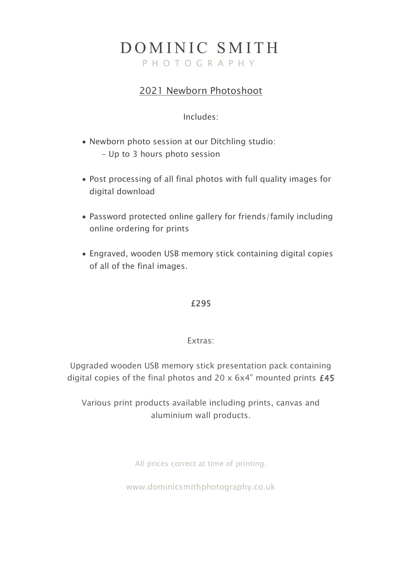# DOMINIC SMITH

P H O T O G R A P H Y

## 2021 Newborn Photoshoot

### Includes:

- Newborn photo session at our Ditchling studio: - Up to 3 hours photo session
- Post processing of all final photos with full quality images for digital download
- Password protected online gallery for friends/family including online ordering for prints
- Engraved, wooden USB memory stick containing digital copies of all of the final images.

### £295

### Extras:

Upgraded wooden USB memory stick presentation pack containing digital copies of the final photos and 20 x 6x4" mounted prints £45

Various print products available including prints, canvas and aluminium wall products.

All prices correct at time of printing.

www.dominicsmithphotography.co.uk